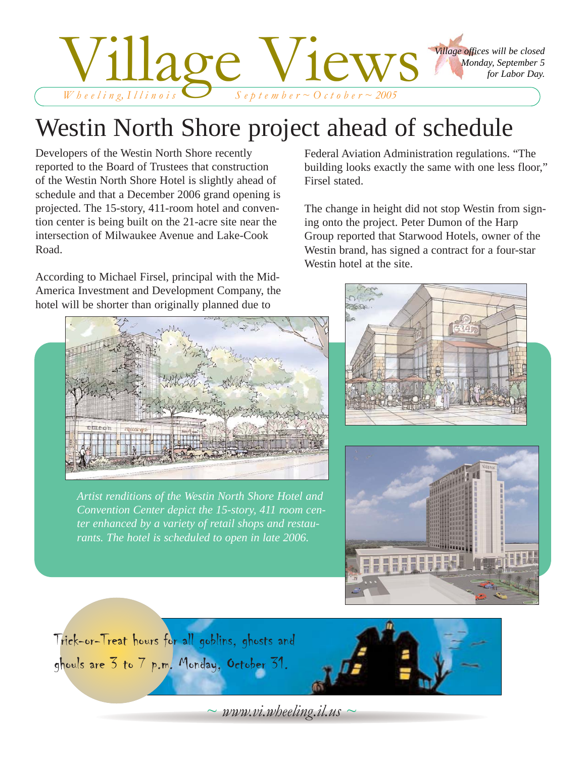

# Westin North Shore project ahead of schedule

Developers of the Westin North Shore recently reported to the Board of Trustees that construction of the Westin North Shore Hotel is slightly ahead of schedule and that a December 2006 grand opening is projected. The 15-story, 411-room hotel and convention center is being built on the 21-acre site near the intersection of Milwaukee Avenue and Lake-Cook Road.

According to Michael Firsel, principal with the Mid-America Investment and Development Company, the hotel will be shorter than originally planned due to

Federal Aviation Administration regulations. "The building looks exactly the same with one less floor," Firsel stated.

The change in height did not stop Westin from signing onto the project. Peter Dumon of the Harp Group reported that Starwood Hotels, owner of the Westin brand, has signed a contract for a four-star Westin hotel at the site.



*Artist renditions of the Westin North Shore Hotel and Convention Center depict the 15-story, 411 room center enhanced by a variety of retail shops and restaurants. The hotel is scheduled to open in late 2006.*









*~ www.vi.wheeling.il.us ~*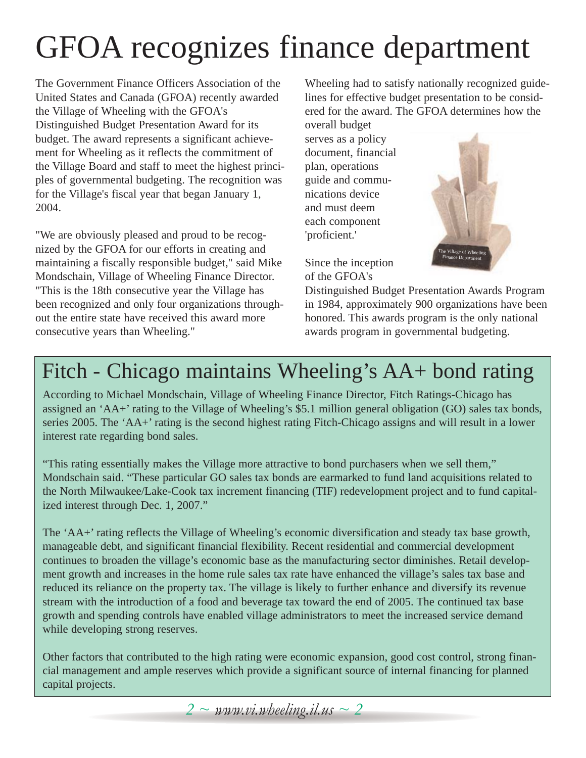# GFOA recognizes finance department

The Government Finance Officers Association of the United States and Canada (GFOA) recently awarded the Village of Wheeling with the GFOA's Distinguished Budget Presentation Award for its budget. The award represents a significant achievement for Wheeling as it reflects the commitment of the Village Board and staff to meet the highest principles of governmental budgeting. The recognition was for the Village's fiscal year that began January 1, 2004.

"We are obviously pleased and proud to be recognized by the GFOA for our efforts in creating and maintaining a fiscally responsible budget," said Mike Mondschain, Village of Wheeling Finance Director. "This is the 18th consecutive year the Village has been recognized and only four organizations throughout the entire state have received this award more consecutive years than Wheeling."

Wheeling had to satisfy nationally recognized guidelines for effective budget presentation to be considered for the award. The GFOA determines how the

overall budget serves as a policy document, financial plan, operations guide and communications device and must deem each component 'proficient.'

Since the inception of the GFOA's



Distinguished Budget Presentation Awards Program in 1984, approximately 900 organizations have been honored. This awards program is the only national awards program in governmental budgeting.

## Fitch - Chicago maintains Wheeling's AA+ bond rating

According to Michael Mondschain, Village of Wheeling Finance Director, Fitch Ratings-Chicago has assigned an 'AA+' rating to the Village of Wheeling's \$5.1 million general obligation (GO) sales tax bonds, series 2005. The 'AA+' rating is the second highest rating Fitch-Chicago assigns and will result in a lower interest rate regarding bond sales.

"This rating essentially makes the Village more attractive to bond purchasers when we sell them," Mondschain said. "These particular GO sales tax bonds are earmarked to fund land acquisitions related to the North Milwaukee/Lake-Cook tax increment financing (TIF) redevelopment project and to fund capitalized interest through Dec. 1, 2007."

The 'AA+' rating reflects the Village of Wheeling's economic diversification and steady tax base growth, manageable debt, and significant financial flexibility. Recent residential and commercial development continues to broaden the village's economic base as the manufacturing sector diminishes. Retail development growth and increases in the home rule sales tax rate have enhanced the village's sales tax base and reduced its reliance on the property tax. The village is likely to further enhance and diversify its revenue stream with the introduction of a food and beverage tax toward the end of 2005. The continued tax base growth and spending controls have enabled village administrators to meet the increased service demand while developing strong reserves.

Other factors that contributed to the high rating were economic expansion, good cost control, strong financial management and ample reserves which provide a significant source of internal financing for planned capital projects.

*2 ~ www.vi.wheeling.il.us ~ 2*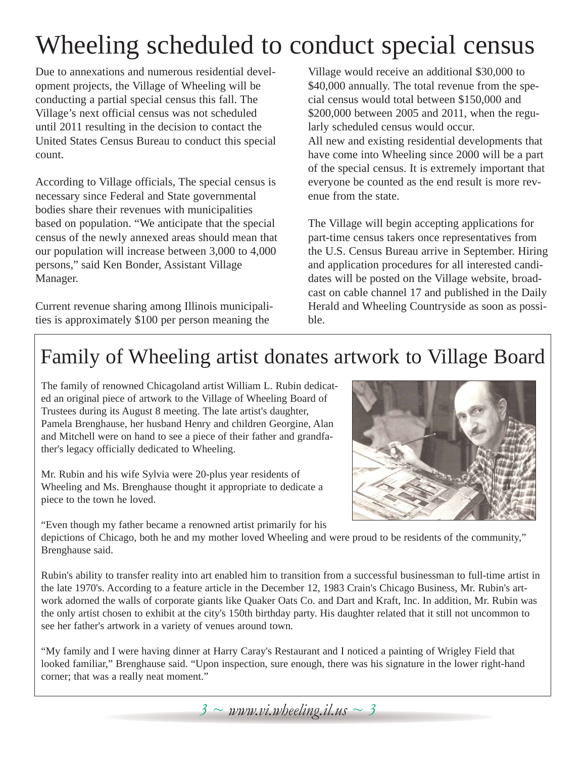# Wheeling scheduled to conduct special census

Due to annexations and numerous residential development projects, the Village of Wheeling will be conducting a partial special census this fall. The Village's next official census was not scheduled until 2011 resulting in the decision to contact the United States Census Bureau to conduct this special count.

According to Village officials, The special census is necessary since Federal and State governmental bodies share their revenues with municipalities based on population. "We anticipate that the special census of the newly annexed areas should mean that our population will increase between 3,000 to 4,000 persons," said Ken Bonder, Assistant Village Manager.

Current revenue sharing among Illinois municipalities is approximately \$100 per person meaning the

Village would receive an additional \$30,000 to \$40,000 annually. The total revenue from the special census would total between \$150,000 and \$200,000 between 2005 and 2011, when the regularly scheduled census would occur. All new and existing residential developments that

have come into Wheeling since 2000 will be a part of the special census. It is extremely important that everyone be counted as the end result is more revenue from the state.

The Village will begin accepting applications for part-time census takers once representatives from the U.S. Census Bureau arrive in September. Hiring and application procedures for all interested candidates will be posted on the Village website, broadcast on cable channel 17 and published in the Daily Herald and Wheeling Countryside as soon as possible.

## Family of Wheeling artist donates artwork to Village Board

The family of renowned Chicagoland artist William L. Rubin dedicated an original piece of artwork to the Village of Wheeling Board of Trustees during its August 8 meeting. The late artist's daughter, Pamela Brenghause, her husband Henry and children Georgine, Alan and Mitchell were on hand to see a piece of their father and grandfather's legacy officially dedicated to Wheeling.

Mr. Rubin and his wife Sylvia were 20-plus year residents of Wheeling and Ms. Brenghause thought it appropriate to dedicate a piece to the town he loved.

"Even though my father became a renowned artist primarily for his

depictions of Chicago, both he and my mother loved Wheeling and were proud to be residents of the community," Brenghause said.

Rubin's ability to transfer reality into art enabled him to transition from a successful businessman to full-time artist in the late 1970's. According to a feature article in the December 12, 1983 Crain's Chicago Business, Mr. Rubin's artwork adorned the walls of corporate giants like Quaker Oats Co. and Dart and Kraft, Inc. In addition, Mr. Rubin was the only artist chosen to exhibit at the city's 150th birthday party. His daughter related that it still not uncommon to see her father's artwork in a variety of venues around town.

"My family and I were having dinner at Harry Caray's Restaurant and I noticed a painting of Wrigley Field that looked familiar," Brenghause said. "Upon inspection, sure enough, there was his signature in the lower right-hand corner; that was a really neat moment."



*3 ~ www.vi.wheeling.il.us ~ 3*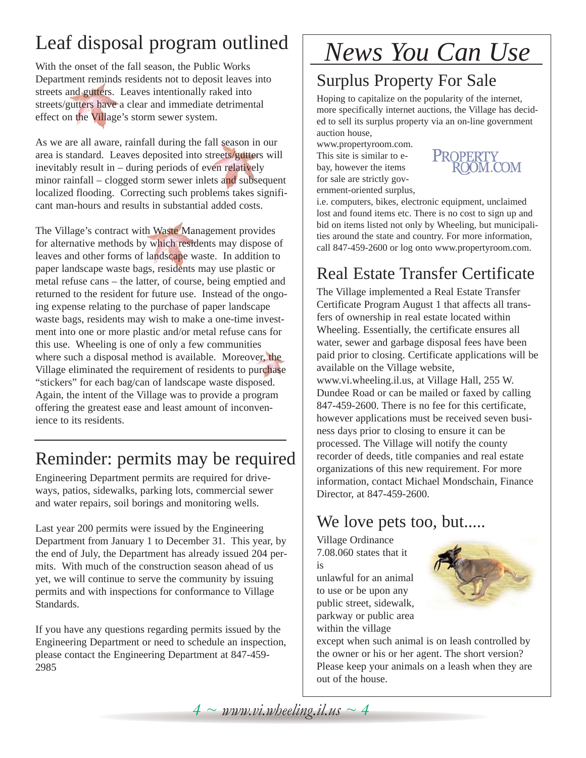## Leaf disposal program outlined

With the onset of the fall season, the Public Works Department reminds residents not to deposit leaves into streets and gutters. Leaves intentionally raked into streets/gutters have a clear and immediate detrimental effect on the Village's storm sewer system.

As we are all aware, rainfall during the fall season in our area is standard. Leaves deposited into streets/gutters will inevitably result in – during periods of even relatively minor rainfall – clogged storm sewer inlets and subsequent localized flooding. Correcting such problems takes significant man-hours and results in substantial added costs.

The Village's contract with Waste Management provides for alternative methods by which residents may dispose of leaves and other forms of landscape waste. In addition to paper landscape waste bags, residents may use plastic or metal refuse cans – the latter, of course, being emptied and returned to the resident for future use. Instead of the ongoing expense relating to the purchase of paper landscape waste bags, residents may wish to make a one-time investment into one or more plastic and/or metal refuse cans for this use. Wheeling is one of only a few communities where such a disposal method is available. Moreover, the Village eliminated the requirement of residents to purchase "stickers" for each bag/can of landscape waste disposed. Again, the intent of the Village was to provide a program offering the greatest ease and least amount of inconvenience to its residents.

### Reminder: permits may be required

Engineering Department permits are required for driveways, patios, sidewalks, parking lots, commercial sewer and water repairs, soil borings and monitoring wells.

Last year 200 permits were issued by the Engineering Department from January 1 to December 31. This year, by the end of July, the Department has already issued 204 permits. With much of the construction season ahead of us yet, we will continue to serve the community by issuing permits and with inspections for conformance to Village Standards.

If you have any questions regarding permits issued by the Engineering Department or need to schedule an inspection, please contact the Engineering Department at 847-459- 2985

# *News You Can Use*

### Surplus Property For Sale

Hoping to capitalize on the popularity of the internet, more specifically internet auctions, the Village has decided to sell its surplus property via an on-line government auction house,

www.propertyroom.com. This site is similar to ebay, however the items for sale are strictly government-oriented surplus,



i.e. computers, bikes, electronic equipment, unclaimed lost and found items etc. There is no cost to sign up and bid on items listed not only by Wheeling, but municipalities around the state and country. For more information, call 847-459-2600 or log onto www.propertyroom.com.

### Real Estate Transfer Certificate

The Village implemented a Real Estate Transfer Certificate Program August 1 that affects all transfers of ownership in real estate located within Wheeling. Essentially, the certificate ensures all water, sewer and garbage disposal fees have been paid prior to closing. Certificate applications will be available on the Village website, www.vi.wheeling.il.us, at Village Hall, 255 W. Dundee Road or can be mailed or faxed by calling 847-459-2600. There is no fee for this certificate, however applications must be received seven business days prior to closing to ensure it can be processed. The Village will notify the county recorder of deeds, title companies and real estate organizations of this new requirement. For more information, contact Michael Mondschain, Finance Director, at 847-459-2600.

### We love pets too, but.....

Village Ordinance 7.08.060 states that it is

unlawful for an animal to use or be upon any public street, sidewalk, parkway or public area within the village



except when such animal is on leash controlled by the owner or his or her agent. The short version? Please keep your animals on a leash when they are out of the house.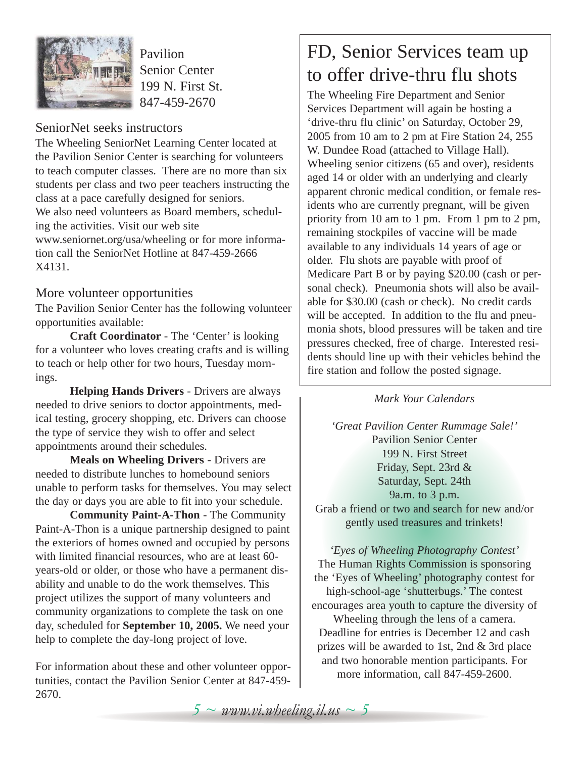

Pavilion Senior Center 199 N. First St. 847-459-2670

#### SeniorNet seeks instructors

The Wheeling SeniorNet Learning Center located at the Pavilion Senior Center is searching for volunteers to teach computer classes. There are no more than six students per class and two peer teachers instructing the class at a pace carefully designed for seniors.

We also need volunteers as Board members, scheduling the activities. Visit our web site

www.seniornet.org/usa/wheeling or for more information call the SeniorNet Hotline at 847-459-2666 X4131.

#### More volunteer opportunities

The Pavilion Senior Center has the following volunteer opportunities available:

**Craft Coordinator** - The 'Center' is looking for a volunteer who loves creating crafts and is willing to teach or help other for two hours, Tuesday mornings.

**Helping Hands Drivers** - Drivers are always needed to drive seniors to doctor appointments, medical testing, grocery shopping, etc. Drivers can choose the type of service they wish to offer and select appointments around their schedules.

**Meals on Wheeling Drivers** - Drivers are needed to distribute lunches to homebound seniors unable to perform tasks for themselves. You may select the day or days you are able to fit into your schedule.

**Community Paint-A-Thon** - The Community Paint-A-Thon is a unique partnership designed to paint the exteriors of homes owned and occupied by persons with limited financial resources, who are at least 60 years-old or older, or those who have a permanent disability and unable to do the work themselves. This project utilizes the support of many volunteers and community organizations to complete the task on one day, scheduled for **September 10, 2005.** We need your help to complete the day-long project of love.

For information about these and other volunteer opportunities, contact the Pavilion Senior Center at 847-459- 2670.

### FD, Senior Services team up to offer drive-thru flu shots

The Wheeling Fire Department and Senior Services Department will again be hosting a 'drive-thru flu clinic' on Saturday, October 29, 2005 from 10 am to 2 pm at Fire Station 24, 255 W. Dundee Road (attached to Village Hall). Wheeling senior citizens (65 and over), residents aged 14 or older with an underlying and clearly apparent chronic medical condition, or female residents who are currently pregnant, will be given priority from 10 am to 1 pm. From 1 pm to 2 pm, remaining stockpiles of vaccine will be made available to any individuals 14 years of age or older. Flu shots are payable with proof of Medicare Part B or by paying \$20.00 (cash or personal check). Pneumonia shots will also be available for \$30.00 (cash or check). No credit cards will be accepted. In addition to the flu and pneumonia shots, blood pressures will be taken and tire pressures checked, free of charge. Interested residents should line up with their vehicles behind the fire station and follow the posted signage.

#### *Mark Your Calendars*

*'Great Pavilion Center Rummage Sale!'* Pavilion Senior Center 199 N. First Street Friday, Sept. 23rd & Saturday, Sept. 24th 9a.m. to 3 p.m. Grab a friend or two and search for new and/or gently used treasures and trinkets!

*'Eyes of Wheeling Photography Contest'* The Human Rights Commission is sponsoring the 'Eyes of Wheeling' photography contest for high-school-age 'shutterbugs.' The contest encourages area youth to capture the diversity of Wheeling through the lens of a camera. Deadline for entries is December 12 and cash prizes will be awarded to 1st, 2nd & 3rd place and two honorable mention participants. For more information, call 847-459-2600.

 $5 \sim$  *www.vi.wheeling.il.us*  $\sim$  5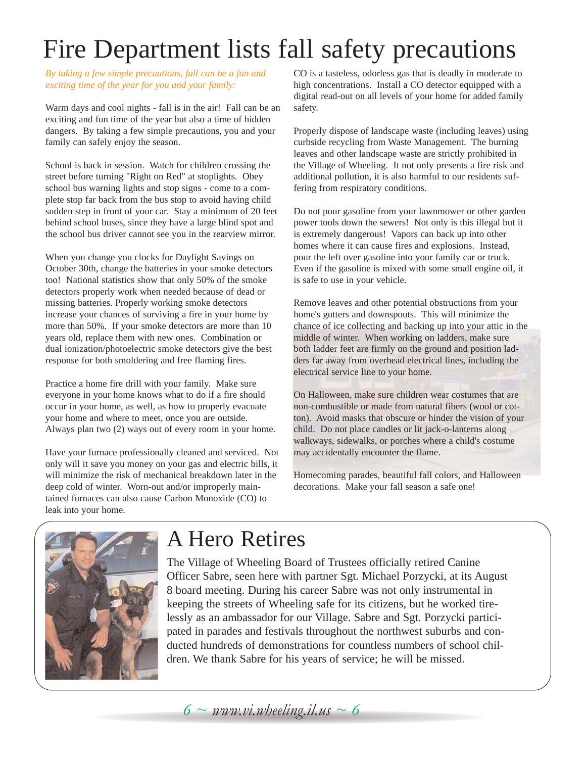# Fire Department lists fall safety precautions

*By taking a few simple precautions, fall can be a fun and exciting time of the year for you and your family:*

Warm days and cool nights - fall is in the air! Fall can be an exciting and fun time of the year but also a time of hidden dangers. By taking a few simple precautions, you and your family can safely enjoy the season.

School is back in session. Watch for children crossing the street before turning "Right on Red" at stoplights. Obey school bus warning lights and stop signs - come to a complete stop far back from the bus stop to avoid having child sudden step in front of your car. Stay a minimum of 20 feet behind school buses, since they have a large blind spot and the school bus driver cannot see you in the rearview mirror.

When you change you clocks for Daylight Savings on October 30th, change the batteries in your smoke detectors too! National statistics show that only 50% of the smoke detectors properly work when needed because of dead or missing batteries. Properly working smoke detectors increase your chances of surviving a fire in your home by more than 50%. If your smoke detectors are more than 10 years old, replace them with new ones. Combination or dual ionization/photoelectric smoke detectors give the best response for both smoldering and free flaming fires.

Practice a home fire drill with your family. Make sure everyone in your home knows what to do if a fire should occur in your home, as well, as how to properly evacuate your home and where to meet, once you are outside. Always plan two (2) ways out of every room in your home.

Have your furnace professionally cleaned and serviced. Not only will it save you money on your gas and electric bills, it will minimize the risk of mechanical breakdown later in the deep cold of winter. Worn-out and/or improperly maintained furnaces can also cause Carbon Monoxide (CO) to leak into your home.

CO is a tasteless, odorless gas that is deadly in moderate to high concentrations. Install a CO detector equipped with a digital read-out on all levels of your home for added family safety.

Properly dispose of landscape waste (including leaves) using curbside recycling from Waste Management. The burning leaves and other landscape waste are strictly prohibited in the Village of Wheeling. It not only presents a fire risk and additional pollution, it is also harmful to our residents suffering from respiratory conditions.

Do not pour gasoline from your lawnmower or other garden power tools down the sewers! Not only is this illegal but it is extremely dangerous! Vapors can back up into other homes where it can cause fires and explosions. Instead, pour the left over gasoline into your family car or truck. Even if the gasoline is mixed with some small engine oil, it is safe to use in your vehicle.

Remove leaves and other potential obstructions from your home's gutters and downspouts. This will minimize the chance of ice collecting and backing up into your attic in the middle of winter. When working on ladders, make sure both ladder feet are firmly on the ground and position ladders far away from overhead electrical lines, including the electrical service line to your home.

On Halloween, make sure children wear costumes that are non-combustible or made from natural fibers (wool or cotton). Avoid masks that obscure or hinder the vision of your child. Do not place candles or lit jack-o-lanterns along walkways, sidewalks, or porches where a child's costume may accidentally encounter the flame.

Homecoming parades, beautiful fall colors, and Halloween decorations. Make your fall season a safe one!



### A Hero Retires

The Village of Wheeling Board of Trustees officially retired Canine Officer Sabre, seen here with partner Sgt. Michael Porzycki, at its August 8 board meeting. During his career Sabre was not only instrumental in keeping the streets of Wheeling safe for its citizens, but he worked tirelessly as an ambassador for our Village. Sabre and Sgt. Porzycki participated in parades and festivals throughout the northwest suburbs and conducted hundreds of demonstrations for countless numbers of school children. We thank Sabre for his years of service; he will be missed.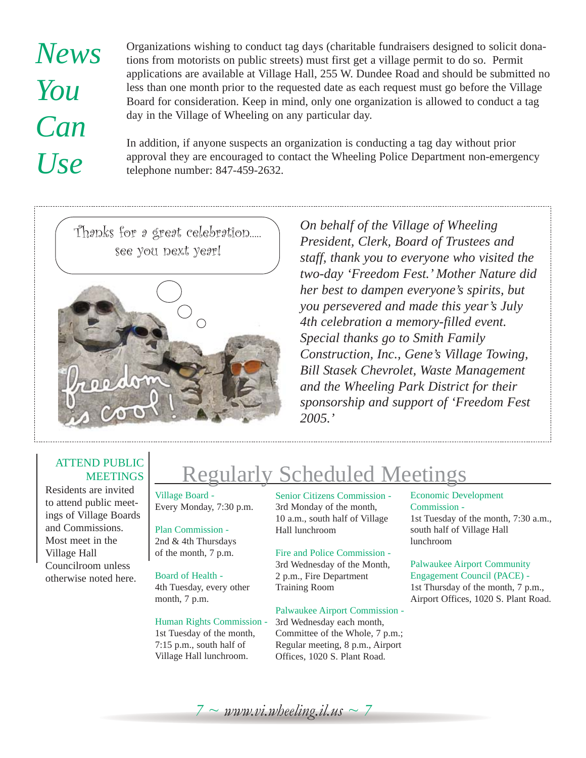# *News You Can Use*

Organizations wishing to conduct tag days (charitable fundraisers designed to solicit donations from motorists on public streets) must first get a village permit to do so. Permit applications are available at Village Hall, 255 W. Dundee Road and should be submitted no less than one month prior to the requested date as each request must go before the Village Board for consideration. Keep in mind, only one organization is allowed to conduct a tag day in the Village of Wheeling on any particular day.

In addition, if anyone suspects an organization is conducting a tag day without prior approval they are encouraged to contact the Wheeling Police Department non-emergency telephone number: 847-459-2632.

Thanks for a great celebration..... see you next year!



*On behalf of the Village of Wheeling President, Clerk, Board of Trustees and staff, thank you to everyone who visited the two-day 'Freedom Fest.' Mother Nature did her best to dampen everyone's spirits, but you persevered and made this year's July 4th celebration a memory-filled event. Special thanks go to Smith Family Construction, Inc., Gene's Village Towing, Bill Stasek Chevrolet, Waste Management and the Wheeling Park District for their sponsorship and support of 'Freedom Fest 2005.'*

#### ATTEND PUBLIC **MEETINGS**

Residents are invited to attend public meetings of Village Boards and Commissions. Most meet in the Village Hall Councilroom unless otherwise noted here.

# Regularly Scheduled Meetings

Village Board - Every Monday, 7:30 p.m.

Plan Commission - 2nd & 4th Thursdays of the month, 7 p.m.

Board of Health -

4th Tuesday, every other month, 7 p.m.

#### Human Rights Commission -

1st Tuesday of the month, 7:15 p.m., south half of Village Hall lunchroom.

Senior Citizens Commission - 3rd Monday of the month, 10 a.m., south half of Village Hall lunchroom

Fire and Police Commission - 3rd Wednesday of the Month,

2 p.m., Fire Department Training Room

#### Palwaukee Airport Commission -

3rd Wednesday each month, Committee of the Whole, 7 p.m.; Regular meeting, 8 p.m., Airport Offices, 1020 S. Plant Road.

#### Economic Development Commission - 1st Tuesday of the month, 7:30 a.m., south half of Village Hall lunchroom

#### Palwaukee Airport Community Engagement Council (PACE) -

1st Thursday of the month, 7 p.m., Airport Offices, 1020 S. Plant Road.

 $7 \sim$  www.vi.wheeling.il.us  $\sim$  7